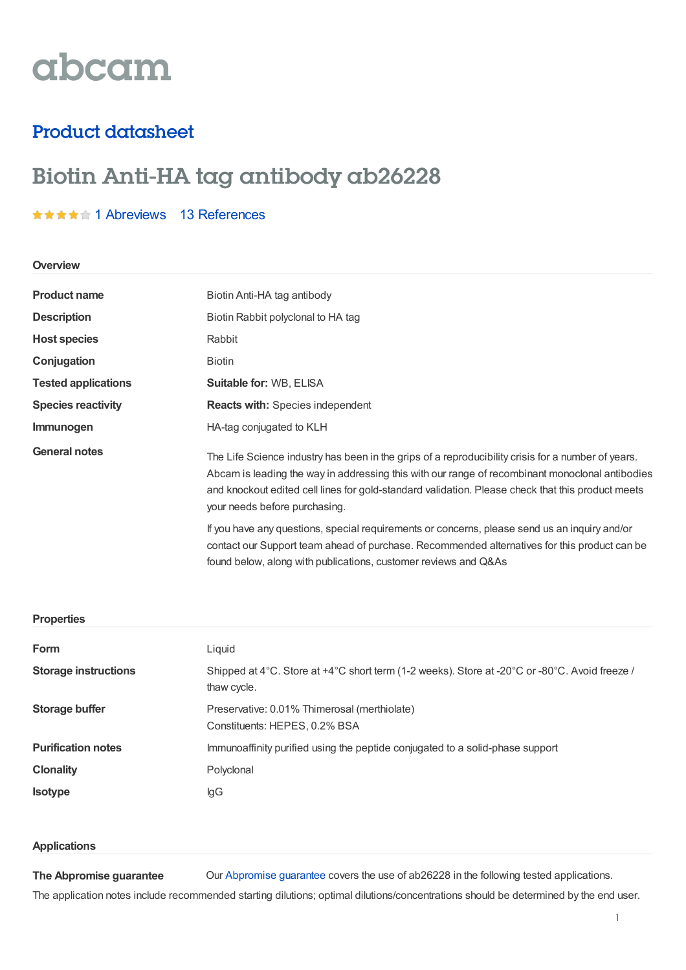# abcam

## Product datasheet

## Biotin Anti-HA tag antibody ab26228

### **★★★★★1 [Abreviews](https://www.abcam.com/biotin-ha-tag-antibody-ab26228.html?productWallTab=Abreviews) 13 [References](https://www.abcam.com/biotin-ha-tag-antibody-ab26228.html#description_references)**

#### **Overview**

| <b>Product name</b>        | Biotin Anti-HA tag antibody                                                                                                                                                                                                                                                                                                                 |  |  |
|----------------------------|---------------------------------------------------------------------------------------------------------------------------------------------------------------------------------------------------------------------------------------------------------------------------------------------------------------------------------------------|--|--|
| <b>Description</b>         | Biotin Rabbit polyclonal to HA tag                                                                                                                                                                                                                                                                                                          |  |  |
| <b>Host species</b>        | Rabbit                                                                                                                                                                                                                                                                                                                                      |  |  |
| Conjugation                | <b>Biotin</b>                                                                                                                                                                                                                                                                                                                               |  |  |
| <b>Tested applications</b> | <b>Suitable for: WB, ELISA</b>                                                                                                                                                                                                                                                                                                              |  |  |
| <b>Species reactivity</b>  | <b>Reacts with: Species independent</b>                                                                                                                                                                                                                                                                                                     |  |  |
| Immunogen                  | HA-tag conjugated to KLH                                                                                                                                                                                                                                                                                                                    |  |  |
| General notes              | The Life Science industry has been in the grips of a reproducibility crisis for a number of years.<br>Abcam is leading the way in addressing this with our range of recombinant monoclonal antibodies<br>and knockout edited cell lines for gold-standard validation. Please check that this product meets<br>your needs before purchasing. |  |  |
|                            | If you have any questions, special requirements or concerns, please send us an inquiry and/or<br>contact our Support team ahead of purchase. Recommended alternatives for this product can be<br>found below, along with publications, customer reviews and Q&As                                                                            |  |  |

#### **Properties**

| <b>Form</b>                 | Liquid                                                                                                       |  |
|-----------------------------|--------------------------------------------------------------------------------------------------------------|--|
| <b>Storage instructions</b> | Shipped at 4°C. Store at +4°C short term (1-2 weeks). Store at -20°C or -80°C. Avoid freeze /<br>thaw cycle. |  |
| Storage buffer              | Preservative: 0.01% Thimerosal (merthiolate)<br>Constituents: HEPES, 0.2% BSA                                |  |
| <b>Purification notes</b>   | Immunoaffinity purified using the peptide conjugated to a solid-phase support                                |  |
| <b>Clonality</b>            | Polyclonal                                                                                                   |  |
| <b>Isotype</b>              | lgG                                                                                                          |  |

#### **Applications**

**The Abpromise guarantee** Our [Abpromise](https://www.abcam.com/abpromise) guarantee covers the use of ab26228 in the following tested applications.

The application notes include recommended starting dilutions; optimal dilutions/concentrations should be determined by the end user.